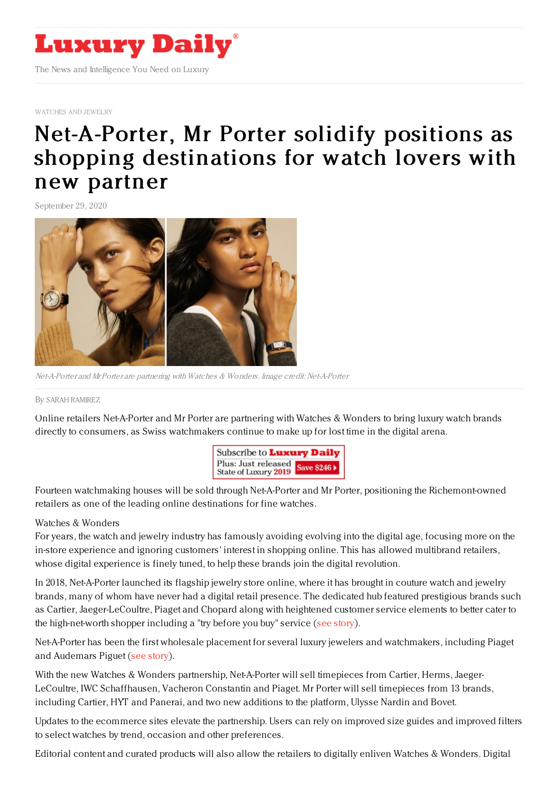

[WATCHES](https://www.luxurydaily.com/category/sectors/jewelry/) AND JEWELRY

## [Net-A-Porter,](https://www.luxurydaily.com/net-a-porter-mr-porter-solidify-positions-as-shopping-destinations-for-watch-lovers-with-new-partner/) Mr Porter solidify positions as shopping destinations for watch lovers with new partner

September 29, 2020



Net-A-Porter and Mr Porter are partnering with Watches & Wonders. Image credit: Net-A-Porter

## By SARAH [RAMIREZ](file:///author/sarah-ramirez)

Online retailers Net-A-Porter and Mr Porter are partnering with Watches & Wonders to bring luxury watch brands directly to consumers, as Swiss watchmakers continue to make up for lost time in the digital arena.



Fourteen watchmaking houses will be sold through Net-A-Porter and Mr Porter, positioning the Richemont-owned retailers as one of the leading online destinations for fine watches.

## Watches & Wonders

For years, the watch and jewelry industry has famously avoiding evolving into the digital age, focusing more on the in-store experience and ignoring customers' interest in shopping online. This has allowed multibrand retailers, whose digital experience is finely tuned, to help these brands join the digital revolution.

In 2018, Net-A-Porter launched its flagship jewelry store online, where it has brought in couture watch and jewelry brands, many of whom have never had a digital retail presence. The dedicated hub featured prestigious brands such as Cartier, Jaeger-LeCoultre, Piaget and Chopard along with heightened customer service elements to better cater to the high-net-worth shopper including a "try before you buy" service (see [story](https://www.luxurydaily.com/net-a-porter-unites-fine-jewelry-brands-in-new-ecommerce-initiative/)).

Net-A-Porter has been the first wholesale placement for several luxury jewelers and watchmakers, including Piaget and Audemars Piguet (see [story](https://www.luxurydaily.com/swiss-watchmaker-audemars-piguet-eyes-ecommerce-lift-with-net-a-porter-deal/)).

With the new Watches & Wonders partnership, Net-A-Porter will sell timepieces from Cartier, Herms, Jaeger-LeCoultre, IWC Schaffhausen, Vacheron Constantin and Piaget. Mr Porter will sell timepieces from 13 brands, including Cartier, HYT and Panerai, and two new additions to the platform, Ulysse Nardin and Bovet.

Updates to the ecommerce sites elevate the partnership. Users can rely on improved size guides and improved filters to select watches by trend, occasion and other preferences.

Editorial content and curated products will also allow the retailers to digitally enliven Watches & Wonders. Digital